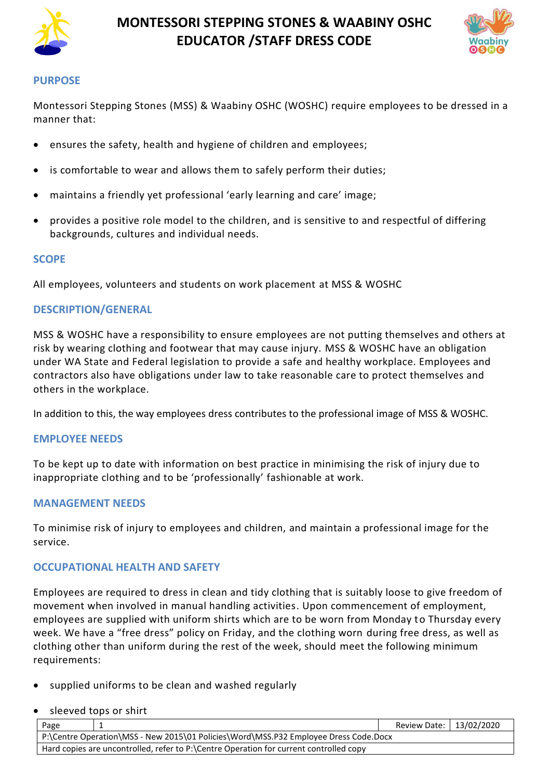

# **MONTESSORI STEPPING STONES & WAABINY OSHC EDUCATOR /STAFF DRESS CODE**



#### **PURPOSE**

Montessori Stepping Stones (MSS) & Waabiny OSHC (WOSHC) require employees to be dressed in a manner that:

- ensures the safety, health and hygiene of children and employees;
- is comfortable to wear and allows them to safely perform their duties;
- maintains a friendly yet professional 'early learning and care' image;
- provides a positive role model to the children, and is sensitive to and respectful of differing backgrounds, cultures and individual needs.

#### **SCOPE**

All employees, volunteers and students on work placement at MSS & WOSHC

## **DESCRIPTION/GENERAL**

MSS & WOSHC have a responsibility to ensure employees are not putting themselves and others at risk by wearing clothing and footwear that may cause injury. MSS & WOSHC have an obligation under WA State and Federal legislation to provide a safe and healthy workplace. Employees and contractors also have obligations under law to take reasonable care to protect themselves and others in the workplace.

In addition to this, the way employees dress contributes to the professional image of MSS & WOSHC.

#### **EMPLOYEE NEEDS**

To be kept up to date with information on best practice in minimising the risk of injury due to inappropriate clothing and to be 'professionally' fashionable at work.

## **MANAGEMENT NEEDS**

To minimise risk of injury to employees and children, and maintain a professional image for the service.

## **OCCUPATIONAL HEALTH AND SAFETY**

Employees are required to dress in clean and tidy clothing that is suitably loose to give freedom of movement when involved in manual handling activities. Upon commencement of employment, employees are supplied with uniform shirts which are to be worn from Monday to Thursday every week. We have a "free dress" policy on Friday, and the clothing worn during free dress, as well as clothing other than uniform during the rest of the week, should meet the following minimum requirements:

- supplied uniforms to be clean and washed regularly
- sleeved tops or shirt

| Page                                                                                   |  | Review Date:   13/02/2020 |  |  |  |
|----------------------------------------------------------------------------------------|--|---------------------------|--|--|--|
| P:\Centre Operation\MSS - New 2015\01 Policies\Word\MSS.P32 Employee Dress Code.Docx   |  |                           |  |  |  |
| Hard copies are uncontrolled, refer to P:\Centre Operation for current controlled copy |  |                           |  |  |  |